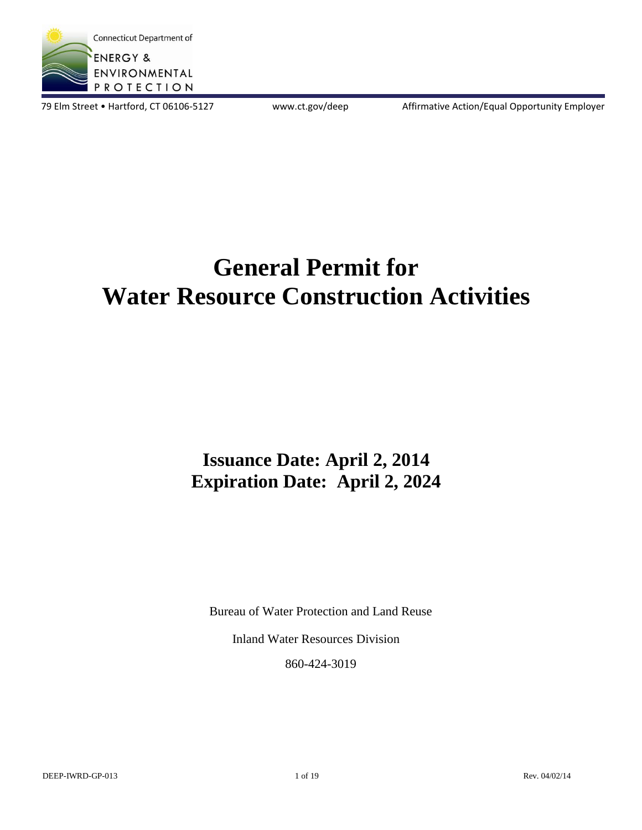

79 Elm Street • Hartford, CT 06106-5127 www.ct.gov/deep Affirmative Action/Equal Opportunity Employer

# **General Permit for Water Resource Construction Activities**

# **Issuance Date: April 2, 2014 Expiration Date: April 2, 2024**

Bureau of Water Protection and Land Reuse

Inland Water Resources Division

860-424-3019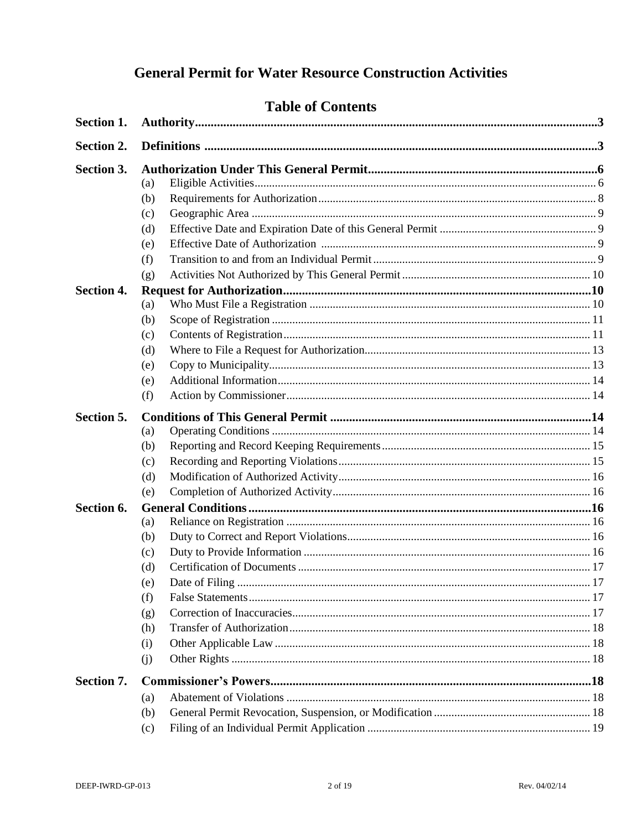## **General Permit for Water Resource Construction Activities**

|                   | <b>Table of Contents</b> |  |
|-------------------|--------------------------|--|
| Section 1.        |                          |  |
| Section 2.        |                          |  |
| Section 3.        |                          |  |
|                   | (a)                      |  |
|                   | (b)                      |  |
|                   | (c)                      |  |
|                   | (d)                      |  |
|                   | (e)                      |  |
|                   | (f)                      |  |
|                   | (g)                      |  |
| <b>Section 4.</b> |                          |  |
|                   | (a)                      |  |
|                   | (b)                      |  |
|                   | (c)                      |  |
|                   | (d)                      |  |
|                   | (e)                      |  |
|                   | (e)                      |  |
|                   | (f)                      |  |
| Section 5.        |                          |  |
|                   | (a)                      |  |
|                   | (b)                      |  |
|                   | (c)                      |  |
|                   | (d)                      |  |
|                   | (e)                      |  |
| Section 6.        |                          |  |
|                   | (a)                      |  |
|                   | (b)                      |  |
|                   | (c)                      |  |
|                   | (d)                      |  |
|                   | (e)                      |  |
|                   | (f)                      |  |
|                   | (g)                      |  |
|                   | (h)                      |  |
|                   | (i)                      |  |
|                   | (i)                      |  |
| Section 7.        |                          |  |
|                   | (a)                      |  |
|                   | (b)                      |  |
|                   | (c)                      |  |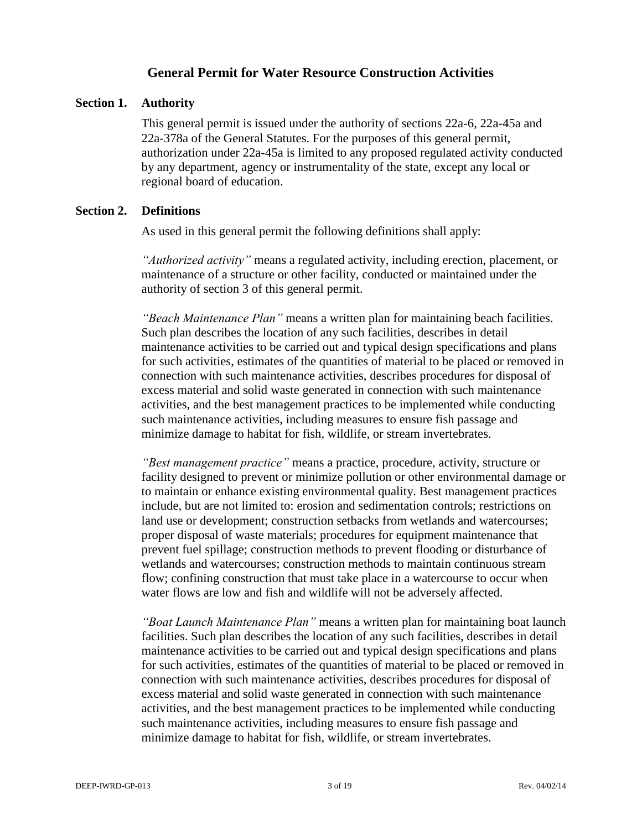#### **General Permit for Water Resource Construction Activities**

#### **Section 1. Authority**

This general permit is issued under the authority of sections 22a-6, 22a-45a and 22a-378a of the General Statutes. For the purposes of this general permit, authorization under 22a-45a is limited to any proposed regulated activity conducted by any department, agency or instrumentality of the state, except any local or regional board of education.

#### **Section 2. Definitions**

As used in this general permit the following definitions shall apply:

*"Authorized activity"* means a regulated activity, including erection, placement, or maintenance of a structure or other facility, conducted or maintained under the authority of section 3 of this general permit.

*"Beach Maintenance Plan"* means a written plan for maintaining beach facilities. Such plan describes the location of any such facilities, describes in detail maintenance activities to be carried out and typical design specifications and plans for such activities, estimates of the quantities of material to be placed or removed in connection with such maintenance activities, describes procedures for disposal of excess material and solid waste generated in connection with such maintenance activities, and the best management practices to be implemented while conducting such maintenance activities, including measures to ensure fish passage and minimize damage to habitat for fish, wildlife, or stream invertebrates.

*"Best management practice"* means a practice, procedure, activity, structure or facility designed to prevent or minimize pollution or other environmental damage or to maintain or enhance existing environmental quality. Best management practices include, but are not limited to: erosion and sedimentation controls; restrictions on land use or development; construction setbacks from wetlands and watercourses; proper disposal of waste materials; procedures for equipment maintenance that prevent fuel spillage; construction methods to prevent flooding or disturbance of wetlands and watercourses; construction methods to maintain continuous stream flow; confining construction that must take place in a watercourse to occur when water flows are low and fish and wildlife will not be adversely affected.

*"Boat Launch Maintenance Plan"* means a written plan for maintaining boat launch facilities. Such plan describes the location of any such facilities, describes in detail maintenance activities to be carried out and typical design specifications and plans for such activities, estimates of the quantities of material to be placed or removed in connection with such maintenance activities, describes procedures for disposal of excess material and solid waste generated in connection with such maintenance activities, and the best management practices to be implemented while conducting such maintenance activities, including measures to ensure fish passage and minimize damage to habitat for fish, wildlife, or stream invertebrates.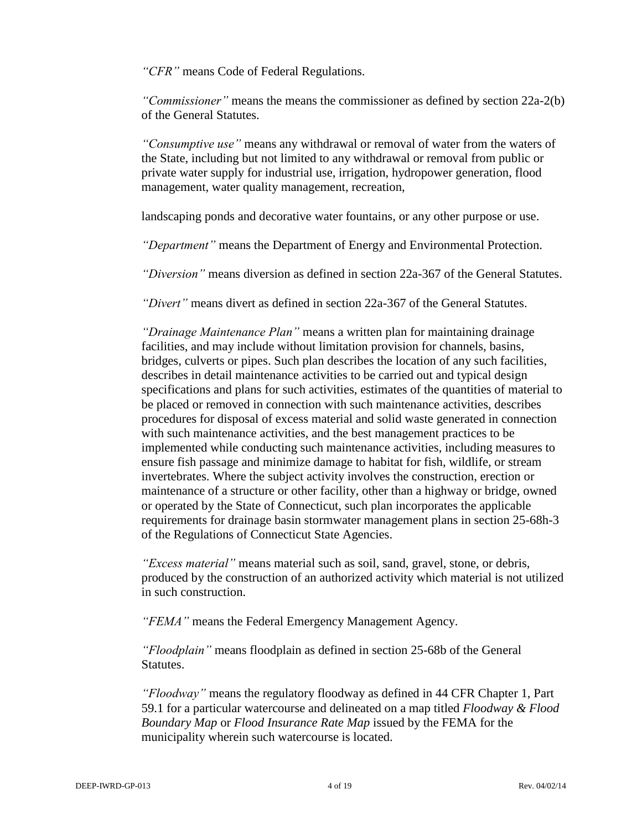*"CFR"* means Code of Federal Regulations.

*"Commissioner"* means the means the commissioner as defined by section 22a-2(b) of the General Statutes.

*"Consumptive use"* means any withdrawal or removal of water from the waters of the State, including but not limited to any withdrawal or removal from public or private water supply for industrial use, irrigation, hydropower generation, flood management, water quality management, recreation,

landscaping ponds and decorative water fountains, or any other purpose or use.

*"Department"* means the Department of Energy and Environmental Protection.

*"Diversion"* means diversion as defined in section 22a-367 of the General Statutes.

*"Divert"* means divert as defined in section 22a-367 of the General Statutes.

*"Drainage Maintenance Plan"* means a written plan for maintaining drainage facilities, and may include without limitation provision for channels, basins, bridges, culverts or pipes. Such plan describes the location of any such facilities, describes in detail maintenance activities to be carried out and typical design specifications and plans for such activities, estimates of the quantities of material to be placed or removed in connection with such maintenance activities, describes procedures for disposal of excess material and solid waste generated in connection with such maintenance activities, and the best management practices to be implemented while conducting such maintenance activities, including measures to ensure fish passage and minimize damage to habitat for fish, wildlife, or stream invertebrates. Where the subject activity involves the construction, erection or maintenance of a structure or other facility, other than a highway or bridge, owned or operated by the State of Connecticut, such plan incorporates the applicable requirements for drainage basin stormwater management plans in section 25-68h-3 of the Regulations of Connecticut State Agencies.

*"Excess material"* means material such as soil, sand, gravel, stone, or debris, produced by the construction of an authorized activity which material is not utilized in such construction.

*"FEMA"* means the Federal Emergency Management Agency.

*"Floodplain"* means floodplain as defined in section 25-68b of the General Statutes.

*"Floodway"* means the regulatory floodway as defined in 44 CFR Chapter 1, Part 59.1 for a particular watercourse and delineated on a map titled *Floodway & Flood Boundary Map* or *Flood Insurance Rate Map* issued by the FEMA for the municipality wherein such watercourse is located.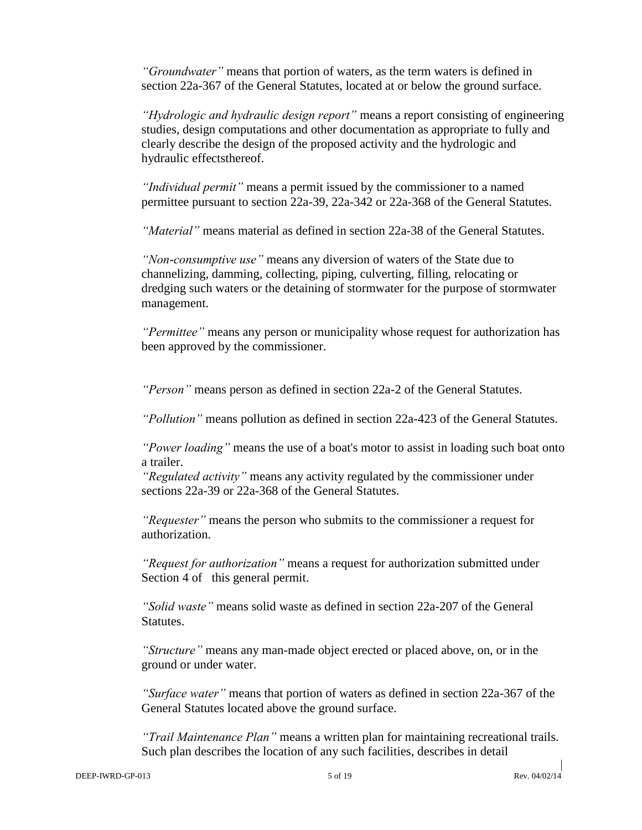*"Groundwater"* means that portion of waters, as the term waters is defined in section 22a-367 of the General Statutes, located at or below the ground surface.

*"Hydrologic and hydraulic design report"* means a report consisting of engineering studies, design computations and other documentation as appropriate to fully and clearly describe the design of the proposed activity and the hydrologic and hydraulic effectsthereof.

*"Individual permit"* means a permit issued by the commissioner to a named permittee pursuant to section 22a-39, 22a-342 or 22a-368 of the General Statutes.

*"Material"* means material as defined in section 22a-38 of the General Statutes.

*"Non-consumptive use"* means any diversion of waters of the State due to channelizing, damming, collecting, piping, culverting, filling, relocating or dredging such waters or the detaining of stormwater for the purpose of stormwater management.

*"Permittee"* means any person or municipality whose request for authorization has been approved by the commissioner.

*"Person"* means person as defined in section 22a-2 of the General Statutes.

*"Pollution"* means pollution as defined in section 22a-423 of the General Statutes.

*"Power loading"* means the use of a boat's motor to assist in loading such boat onto a trailer.

*"Regulated activity"* means any activity regulated by the commissioner under sections 22a-39 or 22a-368 of the General Statutes.

*"Requester"* means the person who submits to the commissioner a request for authorization.

*"Request for authorization"* means a request for authorization submitted under Section 4 of this general permit.

*"Solid waste"* means solid waste as defined in section 22a-207 of the General Statutes.

*"Structure"* means any man-made object erected or placed above, on, or in the ground or under water.

*"Surface water"* means that portion of waters as defined in section 22a-367 of the General Statutes located above the ground surface.

*"Trail Maintenance Plan"* means a written plan for maintaining recreational trails. Such plan describes the location of any such facilities, describes in detail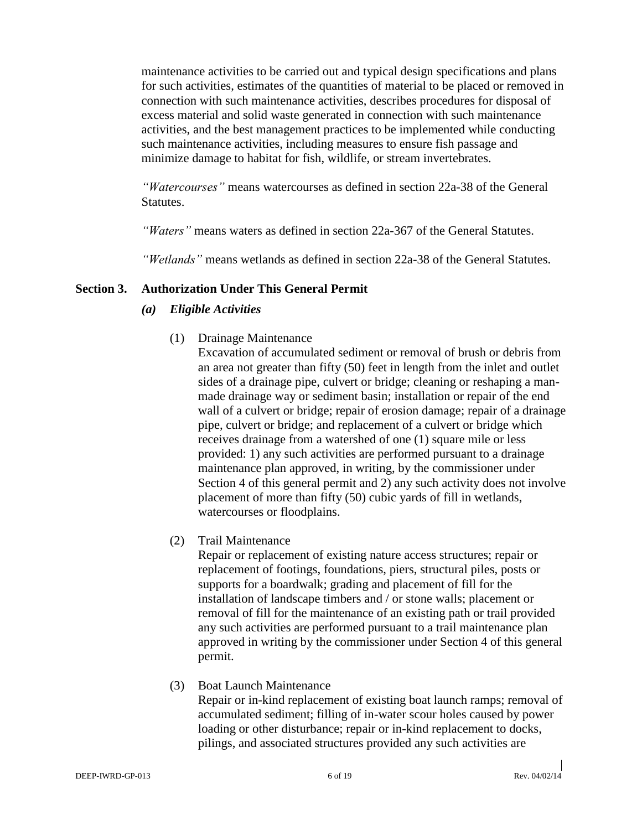maintenance activities to be carried out and typical design specifications and plans for such activities, estimates of the quantities of material to be placed or removed in connection with such maintenance activities, describes procedures for disposal of excess material and solid waste generated in connection with such maintenance activities, and the best management practices to be implemented while conducting such maintenance activities, including measures to ensure fish passage and minimize damage to habitat for fish, wildlife, or stream invertebrates.

*"Watercourses"* means watercourses as defined in section 22a-38 of the General Statutes.

*"Waters"* means waters as defined in section 22a-367 of the General Statutes.

*"Wetlands"* means wetlands as defined in section 22a-38 of the General Statutes.

#### **Section 3. Authorization Under This General Permit**

#### *(a) Eligible Activities*

(1) Drainage Maintenance

Excavation of accumulated sediment or removal of brush or debris from an area not greater than fifty (50) feet in length from the inlet and outlet sides of a drainage pipe, culvert or bridge; cleaning or reshaping a manmade drainage way or sediment basin; installation or repair of the end wall of a culvert or bridge; repair of erosion damage; repair of a drainage pipe, culvert or bridge; and replacement of a culvert or bridge which receives drainage from a watershed of one (1) square mile or less provided: 1) any such activities are performed pursuant to a drainage maintenance plan approved, in writing, by the commissioner under Section 4 of this general permit and 2) any such activity does not involve placement of more than fifty (50) cubic yards of fill in wetlands, watercourses or floodplains.

(2) Trail Maintenance

Repair or replacement of existing nature access structures; repair or replacement of footings, foundations, piers, structural piles, posts or supports for a boardwalk; grading and placement of fill for the installation of landscape timbers and / or stone walls; placement or removal of fill for the maintenance of an existing path or trail provided any such activities are performed pursuant to a trail maintenance plan approved in writing by the commissioner under Section 4 of this general permit.

#### (3) Boat Launch Maintenance

Repair or in-kind replacement of existing boat launch ramps; removal of accumulated sediment; filling of in-water scour holes caused by power loading or other disturbance; repair or in-kind replacement to docks, pilings, and associated structures provided any such activities are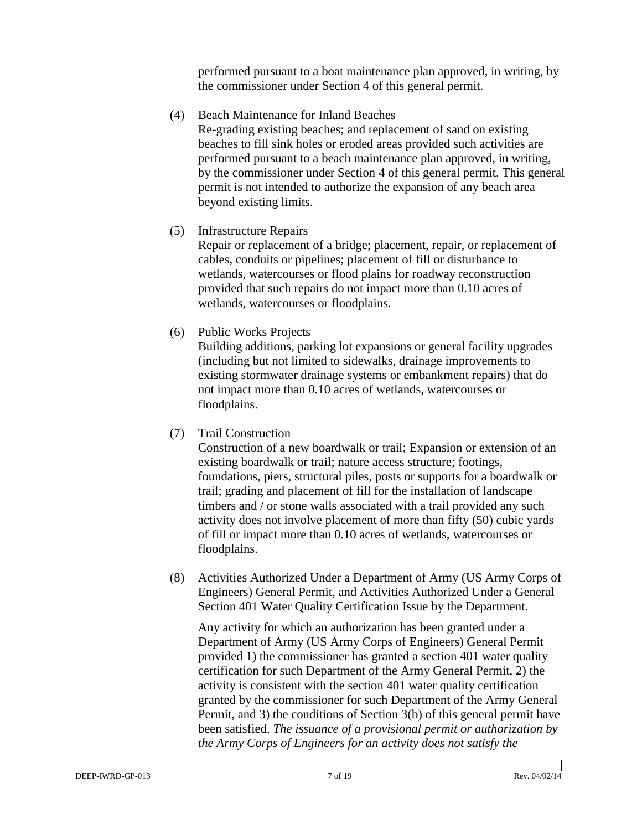performed pursuant to a boat maintenance plan approved, in writing, by the commissioner under Section 4 of this general permit.

- (4) Beach Maintenance for Inland Beaches Re-grading existing beaches; and replacement of sand on existing beaches to fill sink holes or eroded areas provided such activities are performed pursuant to a beach maintenance plan approved, in writing, by the commissioner under Section 4 of this general permit. This general permit is not intended to authorize the expansion of any beach area beyond existing limits.
- (5) Infrastructure Repairs

Repair or replacement of a bridge; placement, repair, or replacement of cables, conduits or pipelines; placement of fill or disturbance to wetlands, watercourses or flood plains for roadway reconstruction provided that such repairs do not impact more than 0.10 acres of wetlands, watercourses or floodplains.

(6) Public Works Projects

Building additions, parking lot expansions or general facility upgrades (including but not limited to sidewalks, drainage improvements to existing stormwater drainage systems or embankment repairs) that do not impact more than 0.10 acres of wetlands, watercourses or floodplains.

(7) Trail Construction

Construction of a new boardwalk or trail; Expansion or extension of an existing boardwalk or trail; nature access structure; footings, foundations, piers, structural piles, posts or supports for a boardwalk or trail; grading and placement of fill for the installation of landscape timbers and / or stone walls associated with a trail provided any such activity does not involve placement of more than fifty (50) cubic yards of fill or impact more than 0.10 acres of wetlands, watercourses or floodplains.

(8) Activities Authorized Under a Department of Army (US Army Corps of Engineers) General Permit, and Activities Authorized Under a General Section 401 Water Quality Certification Issue by the Department.

Any activity for which an authorization has been granted under a Department of Army (US Army Corps of Engineers) General Permit provided 1) the commissioner has granted a section 401 water quality certification for such Department of the Army General Permit, 2) the activity is consistent with the section 401 water quality certification granted by the commissioner for such Department of the Army General Permit, and 3) the conditions of Section 3(b) of this general permit have been satisfied. *The issuance of a provisional permit or authorization by the Army Corps of Engineers for an activity does not satisfy the*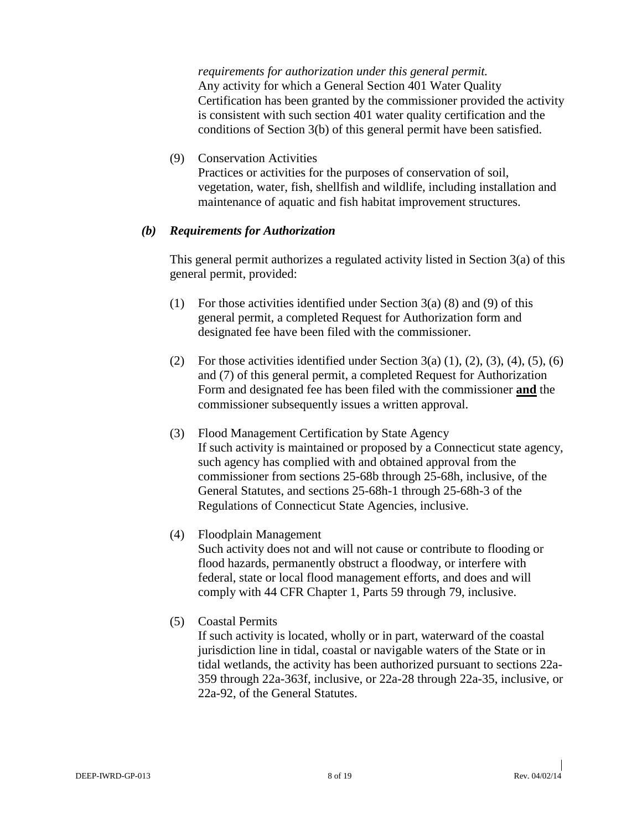*requirements for authorization under this general permit.* Any activity for which a General Section 401 Water Quality Certification has been granted by the commissioner provided the activity is consistent with such section 401 water quality certification and the conditions of Section 3(b) of this general permit have been satisfied.

(9) Conservation Activities Practices or activities for the purposes of conservation of soil, vegetation, water, fish, shellfish and wildlife, including installation and maintenance of aquatic and fish habitat improvement structures.

#### *(b) Requirements for Authorization*

This general permit authorizes a regulated activity listed in Section 3(a) of this general permit, provided:

- (1) For those activities identified under Section  $3(a)$  (8) and (9) of this general permit, a completed Request for Authorization form and designated fee have been filed with the commissioner.
- (2) For those activities identified under Section  $3(a)$  (1), (2), (3), (4), (5), (6) and (7) of this general permit, a completed Request for Authorization Form and designated fee has been filed with the commissioner **and** the commissioner subsequently issues a written approval.
- (3) Flood Management Certification by State Agency If such activity is maintained or proposed by a Connecticut state agency, such agency has complied with and obtained approval from the commissioner from sections 25-68b through 25-68h, inclusive, of the General Statutes, and sections 25-68h-1 through 25-68h-3 of the Regulations of Connecticut State Agencies, inclusive.
- (4) Floodplain Management

Such activity does not and will not cause or contribute to flooding or flood hazards, permanently obstruct a floodway, or interfere with federal, state or local flood management efforts, and does and will comply with 44 CFR Chapter 1, Parts 59 through 79, inclusive.

(5) Coastal Permits

If such activity is located, wholly or in part, waterward of the coastal jurisdiction line in tidal, coastal or navigable waters of the State or in tidal wetlands, the activity has been authorized pursuant to sections 22a-359 through 22a-363f, inclusive, or 22a-28 through 22a-35, inclusive, or 22a-92, of the General Statutes.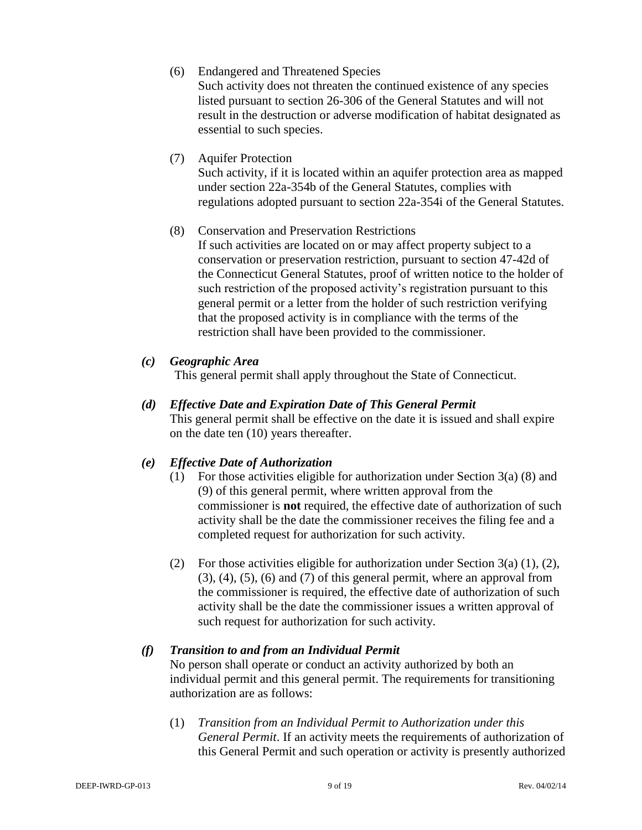- (6) Endangered and Threatened Species Such activity does not threaten the continued existence of any species listed pursuant to section 26-306 of the General Statutes and will not result in the destruction or adverse modification of habitat designated as essential to such species.
- (7) Aquifer Protection Such activity, if it is located within an aquifer protection area as mapped under section 22a-354b of the General Statutes, complies with regulations adopted pursuant to section 22a-354i of the General Statutes.
- (8) Conservation and Preservation Restrictions If such activities are located on or may affect property subject to a conservation or preservation restriction, pursuant to section 47-42d of the Connecticut General Statutes, proof of written notice to the holder of such restriction of the proposed activity's registration pursuant to this general permit or a letter from the holder of such restriction verifying that the proposed activity is in compliance with the terms of the restriction shall have been provided to the commissioner.

#### *(c) Geographic Area*

This general permit shall apply throughout the State of Connecticut.

### *(d) Effective Date and Expiration Date of This General Permit*

This general permit shall be effective on the date it is issued and shall expire on the date ten (10) years thereafter.

#### *(e) Effective Date of Authorization*

- (1) For those activities eligible for authorization under Section 3(a) (8) and (9) of this general permit, where written approval from the commissioner is **not** required, the effective date of authorization of such activity shall be the date the commissioner receives the filing fee and a completed request for authorization for such activity.
- (2) For those activities eligible for authorization under Section 3(a) (1), (2),  $(3)$ ,  $(4)$ ,  $(5)$ ,  $(6)$  and  $(7)$  of this general permit, where an approval from the commissioner is required, the effective date of authorization of such activity shall be the date the commissioner issues a written approval of such request for authorization for such activity.

#### *(f) Transition to and from an Individual Permit*

No person shall operate or conduct an activity authorized by both an individual permit and this general permit. The requirements for transitioning authorization are as follows:

(1) *Transition from an Individual Permit to Authorization under this General Permit*. If an activity meets the requirements of authorization of this General Permit and such operation or activity is presently authorized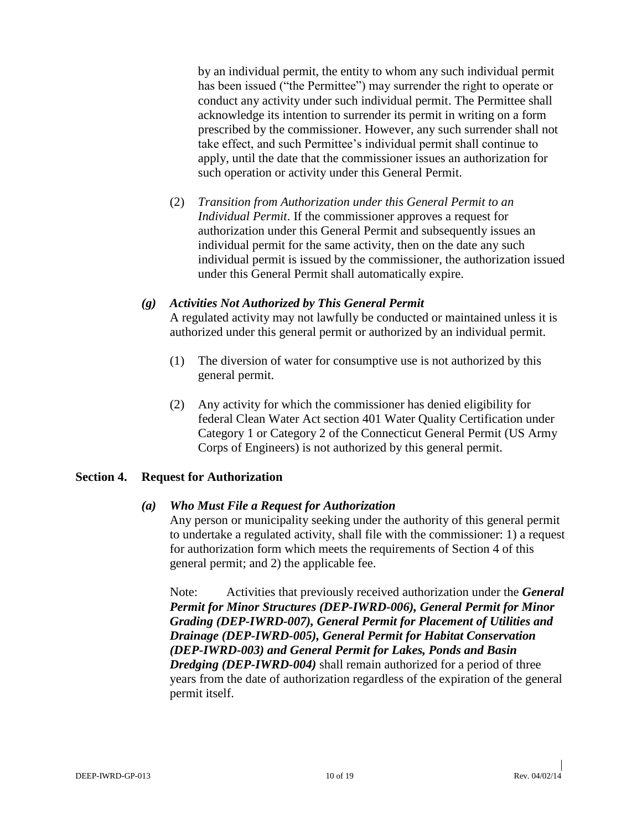by an individual permit, the entity to whom any such individual permit has been issued ("the Permittee") may surrender the right to operate or conduct any activity under such individual permit. The Permittee shall acknowledge its intention to surrender its permit in writing on a form prescribed by the commissioner. However, any such surrender shall not take effect, and such Permittee's individual permit shall continue to apply, until the date that the commissioner issues an authorization for such operation or activity under this General Permit.

(2) *Transition from Authorization under this General Permit to an Individual Permit*. If the commissioner approves a request for authorization under this General Permit and subsequently issues an individual permit for the same activity, then on the date any such individual permit is issued by the commissioner, the authorization issued under this General Permit shall automatically expire.

#### *(g) Activities Not Authorized by This General Permit*

A regulated activity may not lawfully be conducted or maintained unless it is authorized under this general permit or authorized by an individual permit.

- (1) The diversion of water for consumptive use is not authorized by this general permit.
- (2) Any activity for which the commissioner has denied eligibility for federal Clean Water Act section 401 Water Quality Certification under Category 1 or Category 2 of the Connecticut General Permit (US Army Corps of Engineers) is not authorized by this general permit.

#### **Section 4. Request for Authorization**

#### *(a) Who Must File a Request for Authorization*

Any person or municipality seeking under the authority of this general permit to undertake a regulated activity, shall file with the commissioner: 1) a request for authorization form which meets the requirements of Section 4 of this general permit; and 2) the applicable fee.

Note: Activities that previously received authorization under the *General Permit for Minor Structures (DEP-IWRD-006), General Permit for Minor Grading (DEP-IWRD-007), General Permit for Placement of Utilities and Drainage (DEP-IWRD-005), General Permit for Habitat Conservation (DEP-IWRD-003) and General Permit for Lakes, Ponds and Basin Dredging (DEP-IWRD-004)* shall remain authorized for a period of three years from the date of authorization regardless of the expiration of the general permit itself.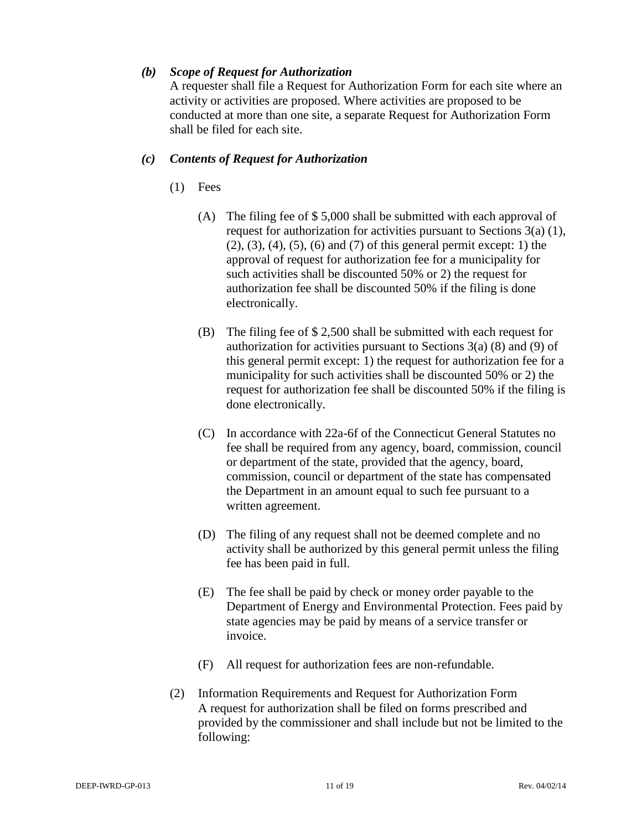#### *(b) Scope of Request for Authorization*

A requester shall file a Request for Authorization Form for each site where an activity or activities are proposed. Where activities are proposed to be conducted at more than one site, a separate Request for Authorization Form shall be filed for each site.

#### *(c) Contents of Request for Authorization*

- (1) Fees
	- (A) The filing fee of \$ 5,000 shall be submitted with each approval of request for authorization for activities pursuant to Sections 3(a) (1), (2), (3), (4), (5), (6) and (7) of this general permit except: 1) the approval of request for authorization fee for a municipality for such activities shall be discounted 50% or 2) the request for authorization fee shall be discounted 50% if the filing is done electronically.
	- (B) The filing fee of \$ 2,500 shall be submitted with each request for authorization for activities pursuant to Sections 3(a) (8) and (9) of this general permit except: 1) the request for authorization fee for a municipality for such activities shall be discounted 50% or 2) the request for authorization fee shall be discounted 50% if the filing is done electronically.
	- (C) In accordance with 22a-6f of the Connecticut General Statutes no fee shall be required from any agency, board, commission, council or department of the state, provided that the agency, board, commission, council or department of the state has compensated the Department in an amount equal to such fee pursuant to a written agreement.
	- (D) The filing of any request shall not be deemed complete and no activity shall be authorized by this general permit unless the filing fee has been paid in full.
	- (E) The fee shall be paid by check or money order payable to the Department of Energy and Environmental Protection. Fees paid by state agencies may be paid by means of a service transfer or invoice.
	- (F) All request for authorization fees are non-refundable.
- (2) Information Requirements and Request for Authorization Form A request for authorization shall be filed on forms prescribed and provided by the commissioner and shall include but not be limited to the following: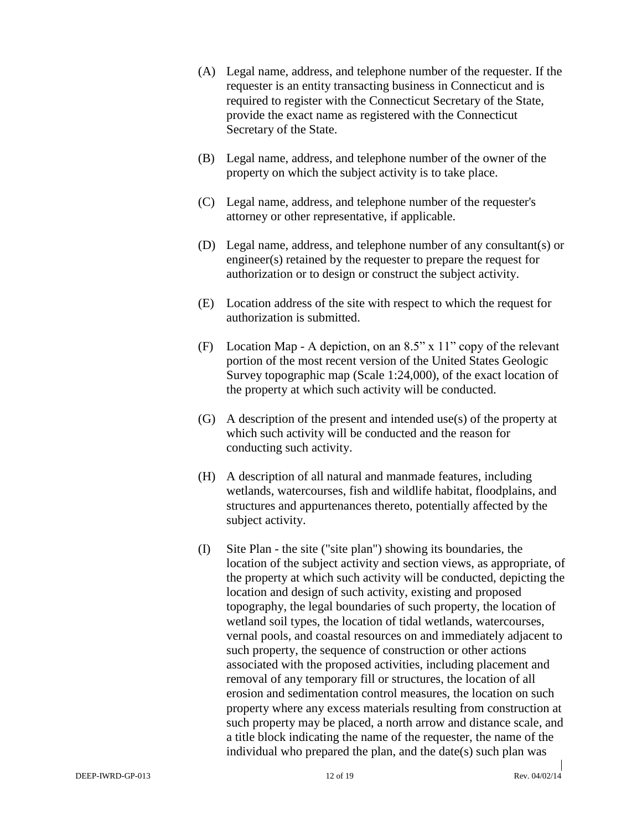- (A) Legal name, address, and telephone number of the requester. If the requester is an entity transacting business in Connecticut and is required to register with the Connecticut Secretary of the State, provide the exact name as registered with the Connecticut Secretary of the State.
- (B) Legal name, address, and telephone number of the owner of the property on which the subject activity is to take place.
- (C) Legal name, address, and telephone number of the requester's attorney or other representative, if applicable.
- (D) Legal name, address, and telephone number of any consultant(s) or engineer(s) retained by the requester to prepare the request for authorization or to design or construct the subject activity.
- (E) Location address of the site with respect to which the request for authorization is submitted.
- (F) Location Map A depiction, on an 8.5" x 11" copy of the relevant portion of the most recent version of the United States Geologic Survey topographic map (Scale 1:24,000), of the exact location of the property at which such activity will be conducted.
- (G) A description of the present and intended use(s) of the property at which such activity will be conducted and the reason for conducting such activity.
- (H) A description of all natural and manmade features, including wetlands, watercourses, fish and wildlife habitat, floodplains, and structures and appurtenances thereto, potentially affected by the subject activity.
- (I) Site Plan the site ("site plan") showing its boundaries, the location of the subject activity and section views, as appropriate, of the property at which such activity will be conducted, depicting the location and design of such activity, existing and proposed topography, the legal boundaries of such property, the location of wetland soil types, the location of tidal wetlands, watercourses, vernal pools, and coastal resources on and immediately adjacent to such property, the sequence of construction or other actions associated with the proposed activities, including placement and removal of any temporary fill or structures, the location of all erosion and sedimentation control measures, the location on such property where any excess materials resulting from construction at such property may be placed, a north arrow and distance scale, and a title block indicating the name of the requester, the name of the individual who prepared the plan, and the date(s) such plan was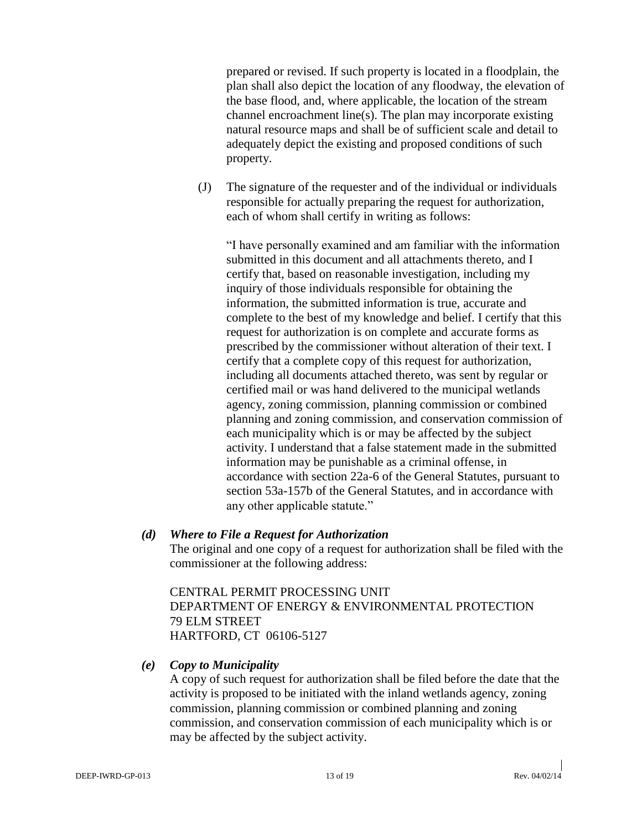prepared or revised. If such property is located in a floodplain, the plan shall also depict the location of any floodway, the elevation of the base flood, and, where applicable, the location of the stream channel encroachment line(s). The plan may incorporate existing natural resource maps and shall be of sufficient scale and detail to adequately depict the existing and proposed conditions of such property.

(J) The signature of the requester and of the individual or individuals responsible for actually preparing the request for authorization, each of whom shall certify in writing as follows:

"I have personally examined and am familiar with the information submitted in this document and all attachments thereto, and I certify that, based on reasonable investigation, including my inquiry of those individuals responsible for obtaining the information, the submitted information is true, accurate and complete to the best of my knowledge and belief. I certify that this request for authorization is on complete and accurate forms as prescribed by the commissioner without alteration of their text. I certify that a complete copy of this request for authorization, including all documents attached thereto, was sent by regular or certified mail or was hand delivered to the municipal wetlands agency, zoning commission, planning commission or combined planning and zoning commission, and conservation commission of each municipality which is or may be affected by the subject activity. I understand that a false statement made in the submitted information may be punishable as a criminal offense, in accordance with section 22a-6 of the General Statutes, pursuant to section 53a-157b of the General Statutes, and in accordance with any other applicable statute."

#### *(d) Where to File a Request for Authorization*

The original and one copy of a request for authorization shall be filed with the commissioner at the following address:

CENTRAL PERMIT PROCESSING UNIT DEPARTMENT OF ENERGY & ENVIRONMENTAL PROTECTION 79 ELM STREET HARTFORD, CT 06106-5127

#### *(e) Copy to Municipality*

A copy of such request for authorization shall be filed before the date that the activity is proposed to be initiated with the inland wetlands agency, zoning commission, planning commission or combined planning and zoning commission, and conservation commission of each municipality which is or may be affected by the subject activity.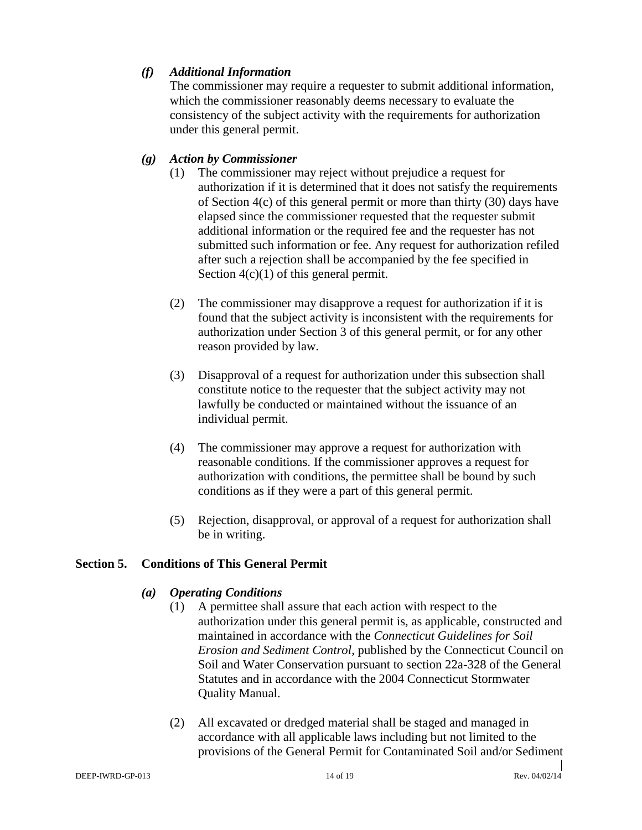#### *(f) Additional Information*

The commissioner may require a requester to submit additional information, which the commissioner reasonably deems necessary to evaluate the consistency of the subject activity with the requirements for authorization under this general permit.

#### *(g) Action by Commissioner*

- (1) The commissioner may reject without prejudice a request for authorization if it is determined that it does not satisfy the requirements of Section 4(c) of this general permit or more than thirty (30) days have elapsed since the commissioner requested that the requester submit additional information or the required fee and the requester has not submitted such information or fee. Any request for authorization refiled after such a rejection shall be accompanied by the fee specified in Section  $4(c)(1)$  of this general permit.
- (2) The commissioner may disapprove a request for authorization if it is found that the subject activity is inconsistent with the requirements for authorization under Section 3 of this general permit, or for any other reason provided by law.
- (3) Disapproval of a request for authorization under this subsection shall constitute notice to the requester that the subject activity may not lawfully be conducted or maintained without the issuance of an individual permit.
- (4) The commissioner may approve a request for authorization with reasonable conditions. If the commissioner approves a request for authorization with conditions, the permittee shall be bound by such conditions as if they were a part of this general permit.
- (5) Rejection, disapproval, or approval of a request for authorization shall be in writing.

#### **Section 5. Conditions of This General Permit**

#### *(a) Operating Conditions*

- (1) A permittee shall assure that each action with respect to the authorization under this general permit is, as applicable, constructed and maintained in accordance with the *Connecticut Guidelines for Soil Erosion and Sediment Control*, published by the Connecticut Council on Soil and Water Conservation pursuant to section 22a-328 of the General Statutes and in accordance with the 2004 Connecticut Stormwater Quality Manual.
- (2) All excavated or dredged material shall be staged and managed in accordance with all applicable laws including but not limited to the provisions of the General Permit for Contaminated Soil and/or Sediment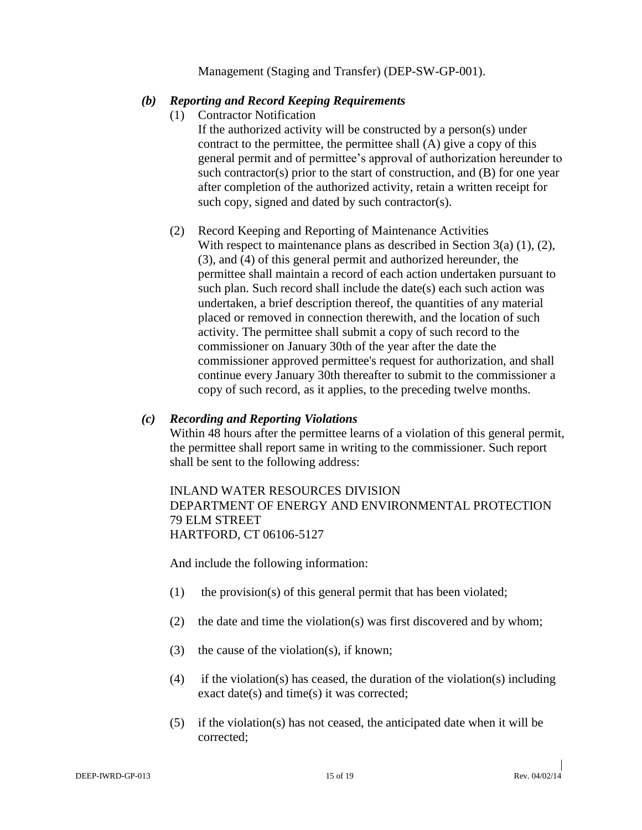Management (Staging and Transfer) (DEP-SW-GP-001).

#### *(b) Reporting and Record Keeping Requirements*

- (1) Contractor Notification
	- If the authorized activity will be constructed by a person(s) under contract to the permittee, the permittee shall (A) give a copy of this general permit and of permittee's approval of authorization hereunder to such contractor(s) prior to the start of construction, and (B) for one year after completion of the authorized activity, retain a written receipt for such copy, signed and dated by such contractor(s).
- (2) Record Keeping and Reporting of Maintenance Activities With respect to maintenance plans as described in Section 3(a) (1), (2), (3), and (4) of this general permit and authorized hereunder, the permittee shall maintain a record of each action undertaken pursuant to such plan. Such record shall include the date(s) each such action was undertaken, a brief description thereof, the quantities of any material placed or removed in connection therewith, and the location of such activity. The permittee shall submit a copy of such record to the commissioner on January 30th of the year after the date the commissioner approved permittee's request for authorization, and shall continue every January 30th thereafter to submit to the commissioner a copy of such record, as it applies, to the preceding twelve months.

#### *(c) Recording and Reporting Violations*

Within 48 hours after the permittee learns of a violation of this general permit, the permittee shall report same in writing to the commissioner. Such report shall be sent to the following address:

#### INLAND WATER RESOURCES DIVISION DEPARTMENT OF ENERGY AND ENVIRONMENTAL PROTECTION 79 ELM STREET HARTFORD, CT 06106-5127

And include the following information:

- (1) the provision(s) of this general permit that has been violated;
- (2) the date and time the violation(s) was first discovered and by whom;
- (3) the cause of the violation(s), if known;
- (4) if the violation(s) has ceased, the duration of the violation(s) including exact date(s) and time(s) it was corrected;
- (5) if the violation(s) has not ceased, the anticipated date when it will be corrected;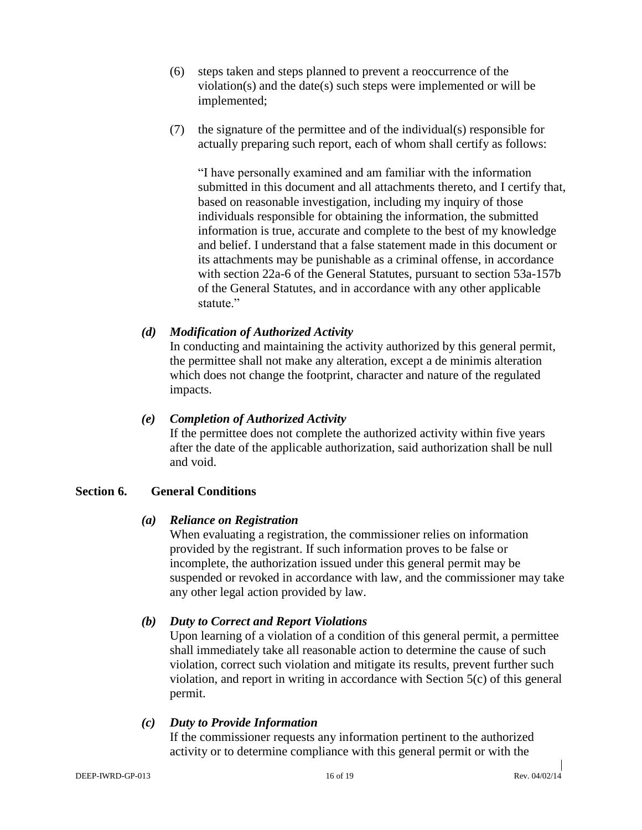- (6) steps taken and steps planned to prevent a reoccurrence of the violation(s) and the date(s) such steps were implemented or will be implemented;
- (7) the signature of the permittee and of the individual(s) responsible for actually preparing such report, each of whom shall certify as follows:

"I have personally examined and am familiar with the information submitted in this document and all attachments thereto, and I certify that, based on reasonable investigation, including my inquiry of those individuals responsible for obtaining the information, the submitted information is true, accurate and complete to the best of my knowledge and belief. I understand that a false statement made in this document or its attachments may be punishable as a criminal offense, in accordance with section 22a-6 of the General Statutes, pursuant to section 53a-157b of the General Statutes, and in accordance with any other applicable statute."

#### *(d) Modification of Authorized Activity*

In conducting and maintaining the activity authorized by this general permit, the permittee shall not make any alteration, except a de minimis alteration which does not change the footprint, character and nature of the regulated impacts.

#### *(e) Completion of Authorized Activity*

If the permittee does not complete the authorized activity within five years after the date of the applicable authorization, said authorization shall be null and void.

#### **Section 6. General Conditions**

#### *(a) Reliance on Registration*

When evaluating a registration, the commissioner relies on information provided by the registrant. If such information proves to be false or incomplete, the authorization issued under this general permit may be suspended or revoked in accordance with law, and the commissioner may take any other legal action provided by law.

#### *(b) Duty to Correct and Report Violations*

Upon learning of a violation of a condition of this general permit, a permittee shall immediately take all reasonable action to determine the cause of such violation, correct such violation and mitigate its results, prevent further such violation, and report in writing in accordance with Section 5(c) of this general permit.

#### *(c) Duty to Provide Information*

If the commissioner requests any information pertinent to the authorized activity or to determine compliance with this general permit or with the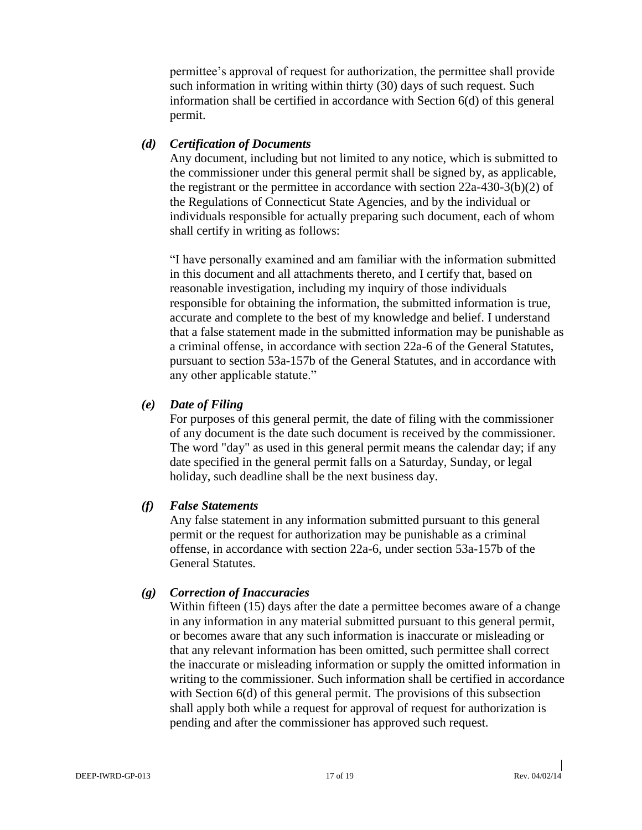permittee's approval of request for authorization, the permittee shall provide such information in writing within thirty (30) days of such request. Such information shall be certified in accordance with Section 6(d) of this general permit.

#### *(d) Certification of Documents*

Any document, including but not limited to any notice, which is submitted to the commissioner under this general permit shall be signed by, as applicable, the registrant or the permittee in accordance with section 22a-430-3(b)(2) of the Regulations of Connecticut State Agencies, and by the individual or individuals responsible for actually preparing such document, each of whom shall certify in writing as follows:

"I have personally examined and am familiar with the information submitted in this document and all attachments thereto, and I certify that, based on reasonable investigation, including my inquiry of those individuals responsible for obtaining the information, the submitted information is true, accurate and complete to the best of my knowledge and belief. I understand that a false statement made in the submitted information may be punishable as a criminal offense, in accordance with section 22a-6 of the General Statutes, pursuant to section 53a-157b of the General Statutes, and in accordance with any other applicable statute."

#### *(e) Date of Filing*

For purposes of this general permit, the date of filing with the commissioner of any document is the date such document is received by the commissioner. The word "day" as used in this general permit means the calendar day; if any date specified in the general permit falls on a Saturday, Sunday, or legal holiday, such deadline shall be the next business day.

#### *(f) False Statements*

Any false statement in any information submitted pursuant to this general permit or the request for authorization may be punishable as a criminal offense, in accordance with section 22a-6, under section 53a-157b of the General Statutes.

#### *(g) Correction of Inaccuracies*

Within fifteen (15) days after the date a permittee becomes aware of a change in any information in any material submitted pursuant to this general permit, or becomes aware that any such information is inaccurate or misleading or that any relevant information has been omitted, such permittee shall correct the inaccurate or misleading information or supply the omitted information in writing to the commissioner. Such information shall be certified in accordance with Section  $6(d)$  of this general permit. The provisions of this subsection shall apply both while a request for approval of request for authorization is pending and after the commissioner has approved such request.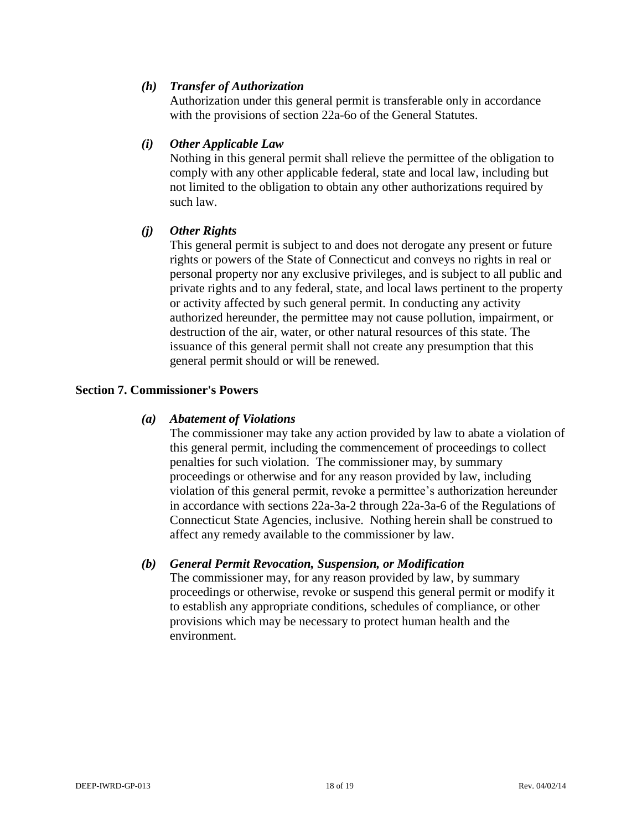#### *(h) Transfer of Authorization*

Authorization under this general permit is transferable only in accordance with the provisions of section 22a-6o of the General Statutes.

#### *(i) Other Applicable Law*

Nothing in this general permit shall relieve the permittee of the obligation to comply with any other applicable federal, state and local law, including but not limited to the obligation to obtain any other authorizations required by such law.

#### *(j) Other Rights*

This general permit is subject to and does not derogate any present or future rights or powers of the State of Connecticut and conveys no rights in real or personal property nor any exclusive privileges, and is subject to all public and private rights and to any federal, state, and local laws pertinent to the property or activity affected by such general permit. In conducting any activity authorized hereunder, the permittee may not cause pollution, impairment, or destruction of the air, water, or other natural resources of this state. The issuance of this general permit shall not create any presumption that this general permit should or will be renewed.

#### **Section 7. Commissioner's Powers**

#### *(a) Abatement of Violations*

The commissioner may take any action provided by law to abate a violation of this general permit, including the commencement of proceedings to collect penalties for such violation. The commissioner may, by summary proceedings or otherwise and for any reason provided by law, including violation of this general permit, revoke a permittee's authorization hereunder in accordance with sections 22a-3a-2 through 22a-3a-6 of the Regulations of Connecticut State Agencies, inclusive. Nothing herein shall be construed to affect any remedy available to the commissioner by law.

#### *(b) General Permit Revocation, Suspension, or Modification*

The commissioner may, for any reason provided by law, by summary proceedings or otherwise, revoke or suspend this general permit or modify it to establish any appropriate conditions, schedules of compliance, or other provisions which may be necessary to protect human health and the environment.